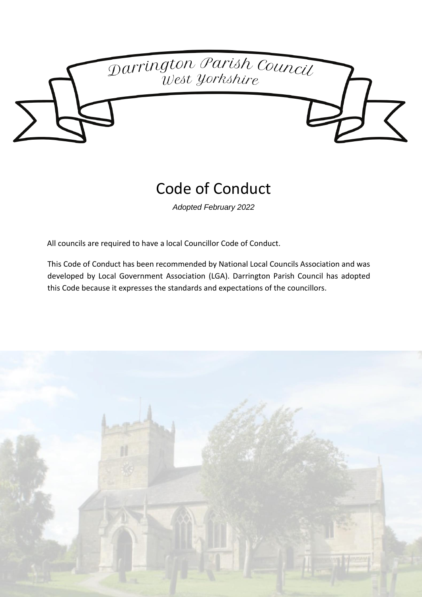

# Code of Conduct

*Adopted February 2022*

All councils are required to have a local Councillor Code of Conduct.

This Code of Conduct has been recommended by National Local Councils Association and was developed by Local Government Association (LGA). Darrington Parish Council has adopted this Code because it expresses the standards and expectations of the councillors.

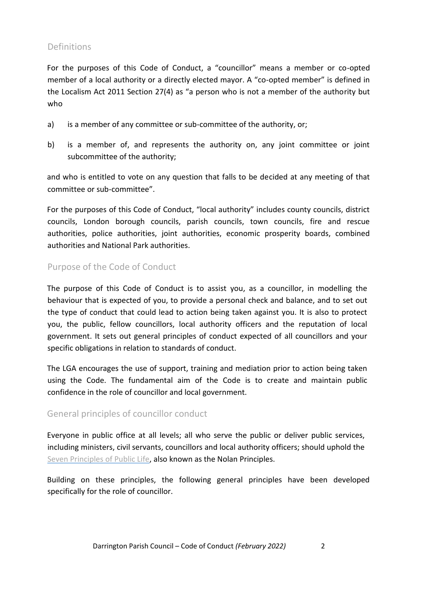# **Definitions**

For the purposes of this Code of Conduct, a "councillor" means a member or co-opted member of a local authority or a directly elected mayor. A "co-opted member" is defined in the Localism Act 2011 Section 27(4) as "a person who is not a member of the authority but who

- a) is a member of any committee or sub-committee of the authority, or;
- b) is a member of, and represents the authority on, any joint committee or joint subcommittee of the authority;

and who is entitled to vote on any question that falls to be decided at any meeting of that committee or sub-committee".

For the purposes of this Code of Conduct, "local authority" includes county councils, district councils, London borough councils, parish councils, town councils, fire and rescue authorities, police authorities, joint authorities, economic prosperity boards, combined authorities and National Park authorities.

# Purpose of the Code of Conduct

The purpose of this Code of Conduct is to assist you, as a councillor, in modelling the behaviour that is expected of you, to provide a personal check and balance, and to set out the type of conduct that could lead to action being taken against you. It is also to protect you, the public, fellow councillors, local authority officers and the reputation of local government. It sets out general principles of conduct expected of all councillors and your specific obligations in relation to standards of conduct.

The LGA encourages the use of support, training and mediation prior to action being taken using the Code. The fundamental aim of the Code is to create and maintain public confidence in the role of councillor and local government.

## General principles of councillor conduct

Everyone in public office at all levels; all who serve the public or deliver public services, including ministers, civil servants, councillors and local authority officers; should uphold the [Seven](https://www.gov.uk/government/publications/the-7-principles-of-public-life/the-7-principles-of-public-life--2) [Principles](https://www.gov.uk/government/publications/the-7-principles-of-public-life/the-7-principles-of-public-life--2) [of](https://www.gov.uk/government/publications/the-7-principles-of-public-life/the-7-principles-of-public-life--2) [Public](https://www.gov.uk/government/publications/the-7-principles-of-public-life/the-7-principles-of-public-life--2) [Life,](https://www.gov.uk/government/publications/the-7-principles-of-public-life/the-7-principles-of-public-life--2) also known as the Nolan Principles.

Building on these principles, the following general principles have been developed specifically for the role of councillor.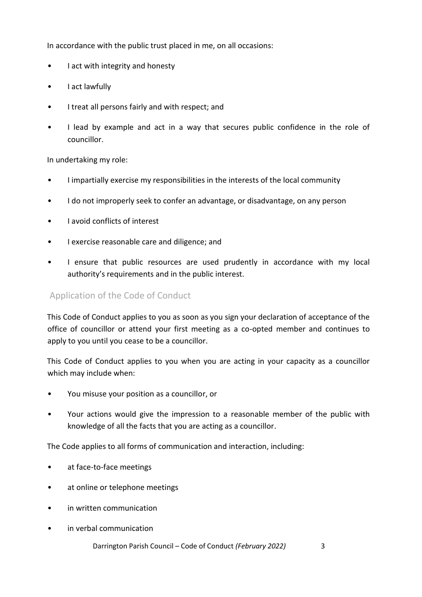In accordance with the public trust placed in me, on all occasions:

- I act with integrity and honesty
- I act lawfully
- I treat all persons fairly and with respect; and
- I lead by example and act in a way that secures public confidence in the role of councillor.

In undertaking my role:

- I impartially exercise my responsibilities in the interests of the local community
- I do not improperly seek to confer an advantage, or disadvantage, on any person
- I avoid conflicts of interest
- I exercise reasonable care and diligence; and
- I ensure that public resources are used prudently in accordance with my local authority's requirements and in the public interest.

## Application of the Code of Conduct

This Code of Conduct applies to you as soon as you sign your declaration of acceptance of the office of councillor or attend your first meeting as a co-opted member and continues to apply to you until you cease to be a councillor.

This Code of Conduct applies to you when you are acting in your capacity as a councillor which may include when:

- You misuse your position as a councillor, or
- Your actions would give the impression to a reasonable member of the public with knowledge of all the facts that you are acting as a councillor.

The Code applies to all forms of communication and interaction, including:

- at face-to-face meetings
- at online or telephone meetings
- in written communication
- in verbal communication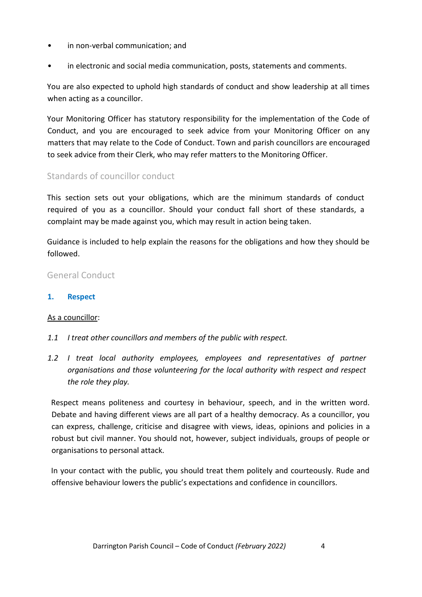- in non-verbal communication; and
- in electronic and social media communication, posts, statements and comments.

You are also expected to uphold high standards of conduct and show leadership at all times when acting as a councillor.

Your Monitoring Officer has statutory responsibility for the implementation of the Code of Conduct, and you are encouraged to seek advice from your Monitoring Officer on any matters that may relate to the Code of Conduct. Town and parish councillors are encouraged to seek advice from their Clerk, who may refer matters to the Monitoring Officer.

## Standards of councillor conduct

This section sets out your obligations, which are the minimum standards of conduct required of you as a councillor. Should your conduct fall short of these standards, a complaint may be made against you, which may result in action being taken.

Guidance is included to help explain the reasons for the obligations and how they should be followed.

## General Conduct

**1. Respect**

## As a councillor:

- *1.1 I treat other councillors and members of the public with respect.*
- *1.2 I treat local authority employees, employees and representatives of partner organisations and those volunteering for the local authority with respect and respect the role they play.*

Respect means politeness and courtesy in behaviour, speech, and in the written word. Debate and having different views are all part of a healthy democracy. As a councillor, you can express, challenge, criticise and disagree with views, ideas, opinions and policies in a robust but civil manner. You should not, however, subject individuals, groups of people or organisations to personal attack.

In your contact with the public, you should treat them politely and courteously. Rude and offensive behaviour lowers the public's expectations and confidence in councillors.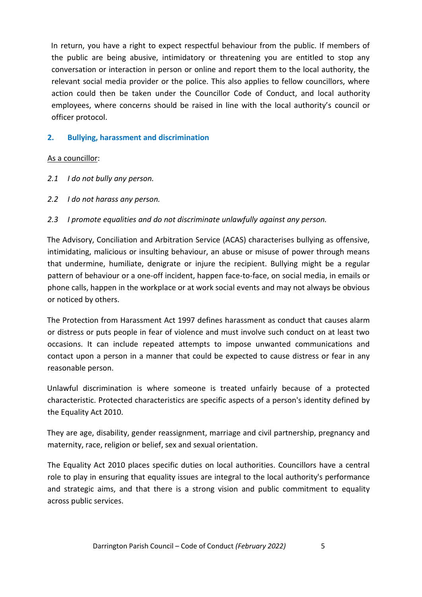In return, you have a right to expect respectful behaviour from the public. If members of the public are being abusive, intimidatory or threatening you are entitled to stop any conversation or interaction in person or online and report them to the local authority, the relevant social media provider or the police. This also applies to fellow councillors, where action could then be taken under the Councillor Code of Conduct, and local authority employees, where concerns should be raised in line with the local authority's council or officer protocol.

## **2. Bullying, harassment and discrimination**

#### As a councillor:

- *2.1 I do not bully any person.*
- *2.2 I do not harass any person.*
- *2.3 I promote equalities and do not discriminate unlawfully against any person.*

The Advisory, Conciliation and Arbitration Service (ACAS) characterises bullying as offensive, intimidating, malicious or insulting behaviour, an abuse or misuse of power through means that undermine, humiliate, denigrate or injure the recipient. Bullying might be a regular pattern of behaviour or a one-off incident, happen face-to-face, on social media, in emails or phone calls, happen in the workplace or at work social events and may not always be obvious or noticed by others.

The Protection from Harassment Act 1997 defines harassment as conduct that causes alarm or distress or puts people in fear of violence and must involve such conduct on at least two occasions. It can include repeated attempts to impose unwanted communications and contact upon a person in a manner that could be expected to cause distress or fear in any reasonable person.

Unlawful discrimination is where someone is treated unfairly because of a protected characteristic. Protected characteristics are specific aspects of a person's identity defined by the Equality Act 2010.

They are age, disability, gender reassignment, marriage and civil partnership, pregnancy and maternity, race, religion or belief, sex and sexual orientation.

The Equality Act 2010 places specific duties on local authorities. Councillors have a central role to play in ensuring that equality issues are integral to the local authority's performance and strategic aims, and that there is a strong vision and public commitment to equality across public services.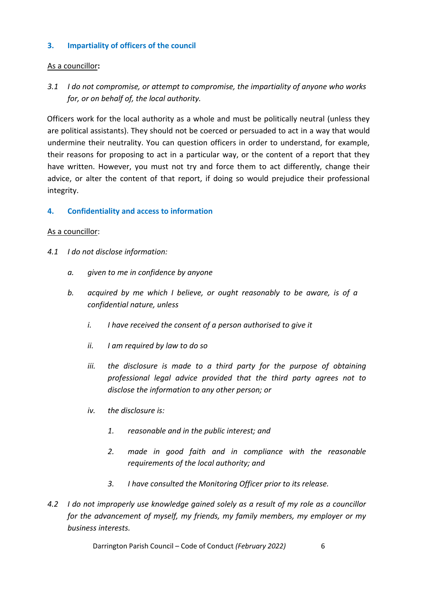## **3. Impartiality of officers of the council**

## As a councillor**:**

*3.1 I do not compromise, or attempt to compromise, the impartiality of anyone who works for, or on behalf of, the local authority.* 

Officers work for the local authority as a whole and must be politically neutral (unless they are political assistants). They should not be coerced or persuaded to act in a way that would undermine their neutrality. You can question officers in order to understand, for example, their reasons for proposing to act in a particular way, or the content of a report that they have written. However, you must not try and force them to act differently, change their advice, or alter the content of that report, if doing so would prejudice their professional integrity.

## **4. Confidentiality and access to information**

#### As a councillor:

- *4.1 I do not disclose information:* 
	- *a. given to me in confidence by anyone*
	- *b. acquired by me which I believe, or ought reasonably to be aware, is of a confidential nature, unless* 
		- *i. I have received the consent of a person authorised to give it*
		- *ii. I am required by law to do so*
		- *iii. the disclosure is made to a third party for the purpose of obtaining professional legal advice provided that the third party agrees not to disclose the information to any other person; or*
		- *iv. the disclosure is:* 
			- *1. reasonable and in the public interest; and*
			- *2. made in good faith and in compliance with the reasonable requirements of the local authority; and*
			- *3. I have consulted the Monitoring Officer prior to its release.*
- *4.2 I do not improperly use knowledge gained solely as a result of my role as a councillor for the advancement of myself, my friends, my family members, my employer or my business interests.*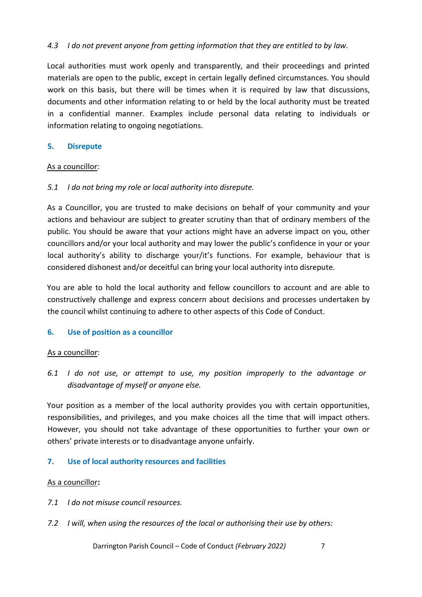## *4.3 I do not prevent anyone from getting information that they are entitled to by law.*

Local authorities must work openly and transparently, and their proceedings and printed materials are open to the public, except in certain legally defined circumstances. You should work on this basis, but there will be times when it is required by law that discussions, documents and other information relating to or held by the local authority must be treated in a confidential manner. Examples include personal data relating to individuals or information relating to ongoing negotiations.

#### **5. Disrepute**

#### As a councillor:

#### *5.1 I do not bring my role or local authority into disrepute.*

As a Councillor, you are trusted to make decisions on behalf of your community and your actions and behaviour are subject to greater scrutiny than that of ordinary members of the public. You should be aware that your actions might have an adverse impact on you, other councillors and/or your local authority and may lower the public's confidence in your or your local authority's ability to discharge your/it's functions. For example, behaviour that is considered dishonest and/or deceitful can bring your local authority into disrepute.

You are able to hold the local authority and fellow councillors to account and are able to constructively challenge and express concern about decisions and processes undertaken by the council whilst continuing to adhere to other aspects of this Code of Conduct.

## **6. Use of position as a councillor**

#### As a councillor:

*6.1 I do not use, or attempt to use, my position improperly to the advantage or disadvantage of myself or anyone else.* 

Your position as a member of the local authority provides you with certain opportunities, responsibilities, and privileges, and you make choices all the time that will impact others. However, you should not take advantage of these opportunities to further your own or others' private interests or to disadvantage anyone unfairly.

## **7. Use of local authority resources and facilities**

#### As a councillor**:**

- *7.1 I do not misuse council resources.*
- *7.2 I will, when using the resources of the local or authorising their use by others:*

Darrington Parish Council – Code of Conduct *(February 2022)* 7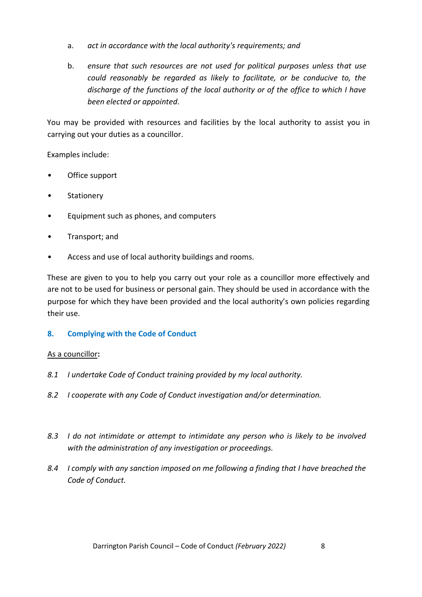- a. *act in accordance with the local authority's requirements; and*
- b. *ensure that such resources are not used for political purposes unless that use could reasonably be regarded as likely to facilitate, or be conducive to, the discharge of the functions of the local authority or of the office to which I have been elected or appointed*.

You may be provided with resources and facilities by the local authority to assist you in carrying out your duties as a councillor.

Examples include:

- Office support
- Stationery
- Equipment such as phones, and computers
- Transport; and
- Access and use of local authority buildings and rooms.

These are given to you to help you carry out your role as a councillor more effectively and are not to be used for business or personal gain. They should be used in accordance with the purpose for which they have been provided and the local authority's own policies regarding their use.

## **8. Complying with the Code of Conduct**

## As a councillor**:**

- *8.1 I undertake Code of Conduct training provided by my local authority.*
- *8.2 I cooperate with any Code of Conduct investigation and/or determination.*
- *8.3 I do not intimidate or attempt to intimidate any person who is likely to be involved with the administration of any investigation or proceedings.*
- *8.4 I comply with any sanction imposed on me following a finding that I have breached the Code of Conduct.*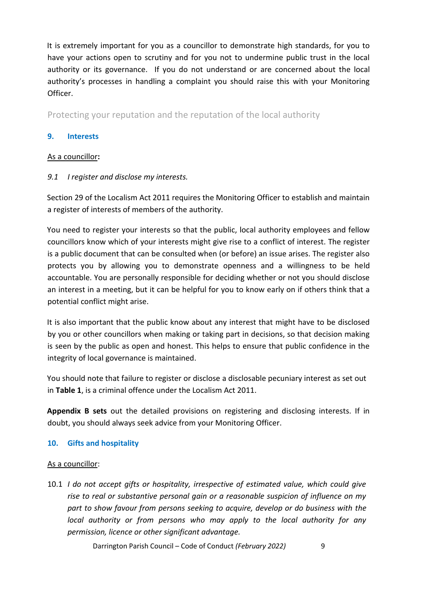It is extremely important for you as a councillor to demonstrate high standards, for you to have your actions open to scrutiny and for you not to undermine public trust in the local authority or its governance. If you do not understand or are concerned about the local authority's processes in handling a complaint you should raise this with your Monitoring Officer.

Protecting your reputation and the reputation of the local authority

## **9. Interests**

## As a councillor**:**

## *9.1 I register and disclose my interests.*

Section 29 of the Localism Act 2011 requires the Monitoring Officer to establish and maintain a register of interests of members of the authority.

You need to register your interests so that the public, local authority employees and fellow councillors know which of your interests might give rise to a conflict of interest. The register is a public document that can be consulted when (or before) an issue arises. The register also protects you by allowing you to demonstrate openness and a willingness to be held accountable. You are personally responsible for deciding whether or not you should disclose an interest in a meeting, but it can be helpful for you to know early on if others think that a potential conflict might arise.

It is also important that the public know about any interest that might have to be disclosed by you or other councillors when making or taking part in decisions, so that decision making is seen by the public as open and honest. This helps to ensure that public confidence in the integrity of local governance is maintained.

You should note that failure to register or disclose a disclosable pecuniary interest as set out in **Table 1**, is a criminal offence under the Localism Act 2011.

**Appendix B sets** out the detailed provisions on registering and disclosing interests. If in doubt, you should always seek advice from your Monitoring Officer.

## **10. Gifts and hospitality**

#### As a councillor:

10.1 *I do not accept gifts or hospitality, irrespective of estimated value, which could give rise to real or substantive personal gain or a reasonable suspicion of influence on my part to show favour from persons seeking to acquire, develop or do business with the local authority or from persons who may apply to the local authority for any permission, licence or other significant advantage.* 

Darrington Parish Council – Code of Conduct *(February 2022)* 9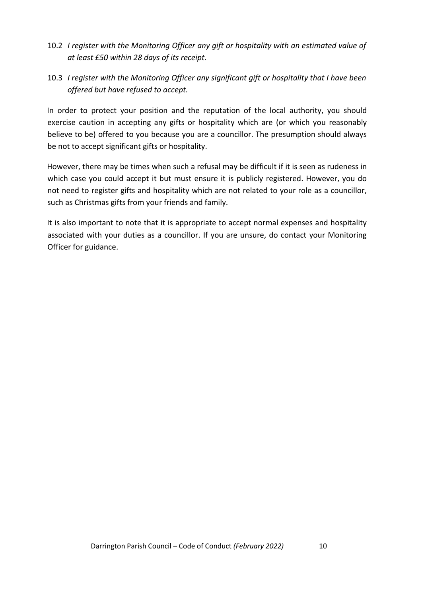- 10.2 *I register with the Monitoring Officer any gift or hospitality with an estimated value of at least £50 within 28 days of its receipt.*
- 10.3 *I register with the Monitoring Officer any significant gift or hospitality that I have been offered but have refused to accept.*

In order to protect your position and the reputation of the local authority, you should exercise caution in accepting any gifts or hospitality which are (or which you reasonably believe to be) offered to you because you are a councillor. The presumption should always be not to accept significant gifts or hospitality.

However, there may be times when such a refusal may be difficult if it is seen as rudeness in which case you could accept it but must ensure it is publicly registered. However, you do not need to register gifts and hospitality which are not related to your role as a councillor, such as Christmas gifts from your friends and family.

It is also important to note that it is appropriate to accept normal expenses and hospitality associated with your duties as a councillor. If you are unsure, do contact your Monitoring Officer for guidance.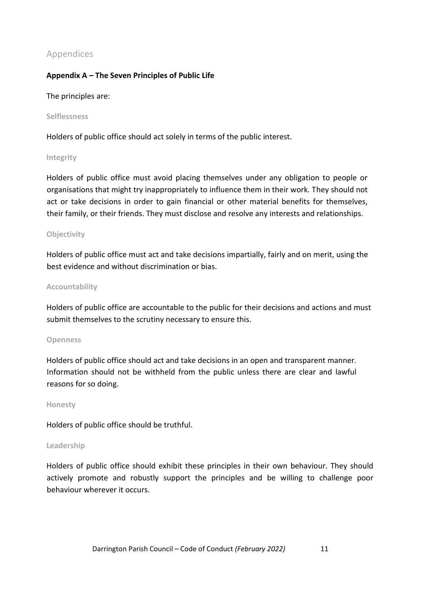## Appendices

## **Appendix A – The Seven Principles of Public Life**

#### The principles are:

**Selflessness**

Holders of public office should act solely in terms of the public interest.

#### **Integrity**

Holders of public office must avoid placing themselves under any obligation to people or organisations that might try inappropriately to influence them in their work. They should not act or take decisions in order to gain financial or other material benefits for themselves, their family, or their friends. They must disclose and resolve any interests and relationships.

#### **Objectivity**

Holders of public office must act and take decisions impartially, fairly and on merit, using the best evidence and without discrimination or bias.

#### **Accountability**

Holders of public office are accountable to the public for their decisions and actions and must submit themselves to the scrutiny necessary to ensure this.

#### **Openness**

Holders of public office should act and take decisions in an open and transparent manner. Information should not be withheld from the public unless there are clear and lawful reasons for so doing.

#### **Honesty**

Holders of public office should be truthful.

#### **Leadership**

Holders of public office should exhibit these principles in their own behaviour. They should actively promote and robustly support the principles and be willing to challenge poor behaviour wherever it occurs.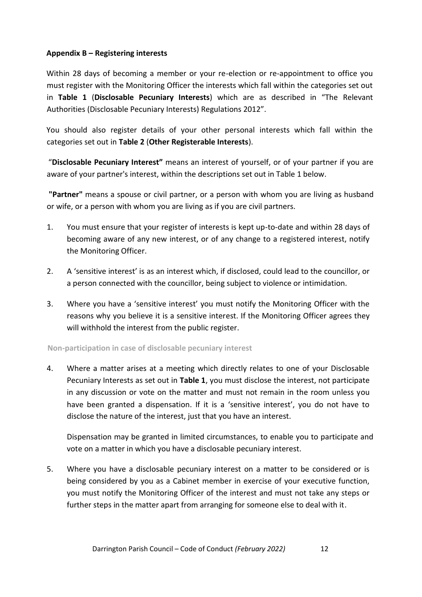## **Appendix B – Registering interests**

Within 28 days of becoming a member or your re-election or re-appointment to office you must register with the Monitoring Officer the interests which fall within the categories set out in **Table 1** (**Disclosable Pecuniary Interests**) which are as described in "The Relevant Authorities (Disclosable Pecuniary Interests) Regulations 2012".

You should also register details of your other personal interests which fall within the categories set out in **Table 2** (**Other Registerable Interests**).

"**Disclosable Pecuniary Interest"** means an interest of yourself, or of your partner if you are aware of your partner's interest, within the descriptions set out in Table 1 below.

**"Partner"** means a spouse or civil partner, or a person with whom you are living as husband or wife, or a person with whom you are living as if you are civil partners.

- 1. You must ensure that your register of interests is kept up-to-date and within 28 days of becoming aware of any new interest, or of any change to a registered interest, notify the Monitoring Officer.
- 2. A 'sensitive interest' is as an interest which, if disclosed, could lead to the councillor, or a person connected with the councillor, being subject to violence or intimidation.
- 3. Where you have a 'sensitive interest' you must notify the Monitoring Officer with the reasons why you believe it is a sensitive interest. If the Monitoring Officer agrees they will withhold the interest from the public register.

#### **Non-participation in case of disclosable pecuniary interest**

4. Where a matter arises at a meeting which directly relates to one of your Disclosable Pecuniary Interests as set out in **Table 1**, you must disclose the interest, not participate in any discussion or vote on the matter and must not remain in the room unless you have been granted a dispensation. If it is a 'sensitive interest', you do not have to disclose the nature of the interest, just that you have an interest.

Dispensation may be granted in limited circumstances, to enable you to participate and vote on a matter in which you have a disclosable pecuniary interest.

5. Where you have a disclosable pecuniary interest on a matter to be considered or is being considered by you as a Cabinet member in exercise of your executive function, you must notify the Monitoring Officer of the interest and must not take any steps or further steps in the matter apart from arranging for someone else to deal with it.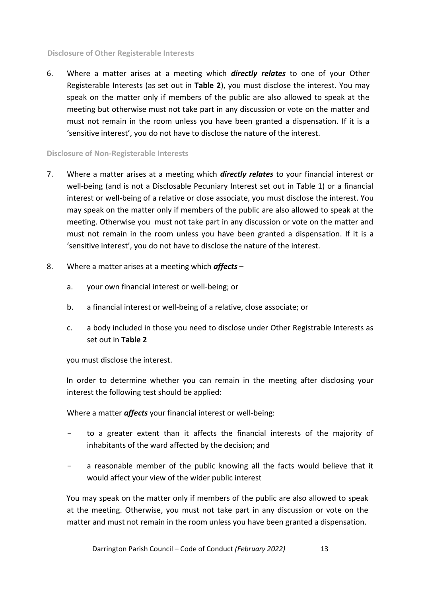#### **Disclosure of Other Registerable Interests**

6. Where a matter arises at a meeting which *directly relates* to one of your Other Registerable Interests (as set out in **Table 2**), you must disclose the interest. You may speak on the matter only if members of the public are also allowed to speak at the meeting but otherwise must not take part in any discussion or vote on the matter and must not remain in the room unless you have been granted a dispensation. If it is a 'sensitive interest', you do not have to disclose the nature of the interest.

#### **Disclosure of Non-Registerable Interests**

- 7. Where a matter arises at a meeting which *directly relates* to your financial interest or well-being (and is not a Disclosable Pecuniary Interest set out in Table 1) or a financial interest or well-being of a relative or close associate, you must disclose the interest. You may speak on the matter only if members of the public are also allowed to speak at the meeting. Otherwise you must not take part in any discussion or vote on the matter and must not remain in the room unless you have been granted a dispensation. If it is a 'sensitive interest', you do not have to disclose the nature of the interest.
- 8. Where a matter arises at a meeting which *affects*
	- a. your own financial interest or well-being; or
	- b. a financial interest or well-being of a relative, close associate; or
	- c. a body included in those you need to disclose under Other Registrable Interests as set out in **Table 2**

you must disclose the interest.

In order to determine whether you can remain in the meeting after disclosing your interest the following test should be applied:

Where a matter *affects* your financial interest or well-being:

- to a greater extent than it affects the financial interests of the majority of inhabitants of the ward affected by the decision; and
- a reasonable member of the public knowing all the facts would believe that it would affect your view of the wider public interest

You may speak on the matter only if members of the public are also allowed to speak at the meeting. Otherwise, you must not take part in any discussion or vote on the matter and must not remain in the room unless you have been granted a dispensation.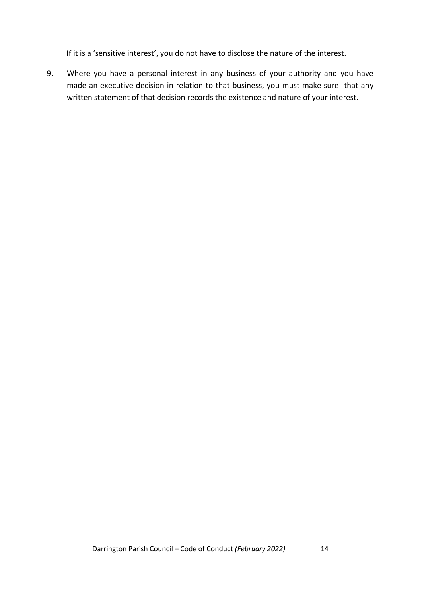If it is a 'sensitive interest', you do not have to disclose the nature of the interest.

9. Where you have a personal interest in any business of your authority and you have made an executive decision in relation to that business, you must make sure that any written statement of that decision records the existence and nature of your interest.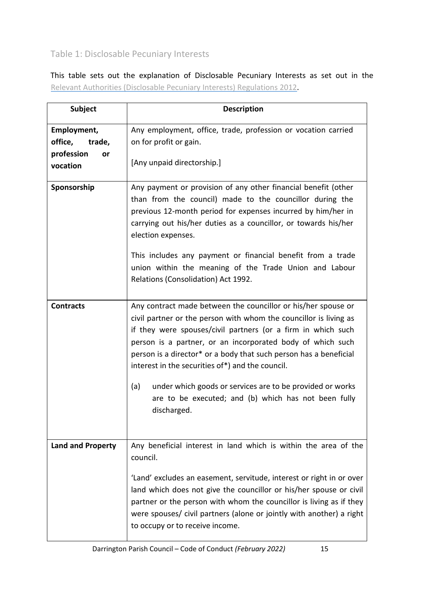# Table 1: Disclosable Pecuniary Interests

This table sets out the explanation of Disclosable Pecuniary Interests as set out in the [Relevant](https://www.legislation.gov.uk/uksi/2012/1464/made) [Authorities](https://www.legislation.gov.uk/uksi/2012/1464/made) [\(Disclosable](https://www.legislation.gov.uk/uksi/2012/1464/made) [Pecuniary](https://www.legislation.gov.uk/uksi/2012/1464/made) [Interests\) Regulations](https://www.legislation.gov.uk/uksi/2012/1464/made) [2012.](https://www.legislation.gov.uk/uksi/2012/1464/made)

| <b>Subject</b>                                                   | <b>Description</b>                                                                                                                                                                                                                                                                                                                                                                                                                                                                                                                   |
|------------------------------------------------------------------|--------------------------------------------------------------------------------------------------------------------------------------------------------------------------------------------------------------------------------------------------------------------------------------------------------------------------------------------------------------------------------------------------------------------------------------------------------------------------------------------------------------------------------------|
| Employment,<br>office,<br>trade,<br>profession<br>or<br>vocation | Any employment, office, trade, profession or vocation carried<br>on for profit or gain.<br>[Any unpaid directorship.]                                                                                                                                                                                                                                                                                                                                                                                                                |
| Sponsorship                                                      | Any payment or provision of any other financial benefit (other<br>than from the council) made to the councillor during the<br>previous 12-month period for expenses incurred by him/her in<br>carrying out his/her duties as a councillor, or towards his/her<br>election expenses.<br>This includes any payment or financial benefit from a trade<br>union within the meaning of the Trade Union and Labour<br>Relations (Consolidation) Act 1992.                                                                                  |
| <b>Contracts</b>                                                 | Any contract made between the councillor or his/her spouse or<br>civil partner or the person with whom the councillor is living as<br>if they were spouses/civil partners (or a firm in which such<br>person is a partner, or an incorporated body of which such<br>person is a director* or a body that such person has a beneficial<br>interest in the securities of*) and the council.<br>(a)<br>under which goods or services are to be provided or works<br>are to be executed; and (b) which has not been fully<br>discharged. |
| <b>Land and Property</b>                                         | Any beneficial interest in land which is within the area of the<br>council.<br>'Land' excludes an easement, servitude, interest or right in or over<br>land which does not give the councillor or his/her spouse or civil<br>partner or the person with whom the councillor is living as if they<br>were spouses/ civil partners (alone or jointly with another) a right<br>to occupy or to receive income.                                                                                                                          |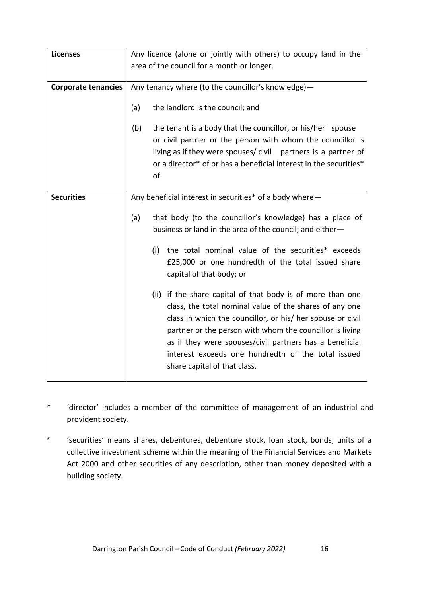| <b>Licenses</b>            | Any licence (alone or jointly with others) to occupy land in the                                                                                                                                                                                                                                                                                                                                 |
|----------------------------|--------------------------------------------------------------------------------------------------------------------------------------------------------------------------------------------------------------------------------------------------------------------------------------------------------------------------------------------------------------------------------------------------|
|                            | area of the council for a month or longer.                                                                                                                                                                                                                                                                                                                                                       |
|                            |                                                                                                                                                                                                                                                                                                                                                                                                  |
| <b>Corporate tenancies</b> | Any tenancy where (to the councillor's knowledge)-                                                                                                                                                                                                                                                                                                                                               |
|                            | the landlord is the council; and<br>(a)                                                                                                                                                                                                                                                                                                                                                          |
|                            | (b)<br>the tenant is a body that the councillor, or his/her spouse<br>or civil partner or the person with whom the councillor is<br>living as if they were spouses/civil partners is a partner of<br>or a director* of or has a beneficial interest in the securities*<br>of.                                                                                                                    |
| <b>Securities</b>          | Any beneficial interest in securities* of a body where-                                                                                                                                                                                                                                                                                                                                          |
|                            | that body (to the councillor's knowledge) has a place of<br>(a)<br>business or land in the area of the council; and either-<br>the total nominal value of the securities* exceeds<br>(i)                                                                                                                                                                                                         |
|                            | £25,000 or one hundredth of the total issued share<br>capital of that body; or                                                                                                                                                                                                                                                                                                                   |
|                            | (ii) if the share capital of that body is of more than one<br>class, the total nominal value of the shares of any one<br>class in which the councillor, or his/ her spouse or civil<br>partner or the person with whom the councillor is living<br>as if they were spouses/civil partners has a beneficial<br>interest exceeds one hundredth of the total issued<br>share capital of that class. |

- \* 'director' includes a member of the committee of management of an industrial and provident society.
- \* 'securities' means shares, debentures, debenture stock, loan stock, bonds, units of a collective investment scheme within the meaning of the Financial Services and Markets Act 2000 and other securities of any description, other than money deposited with a building society.